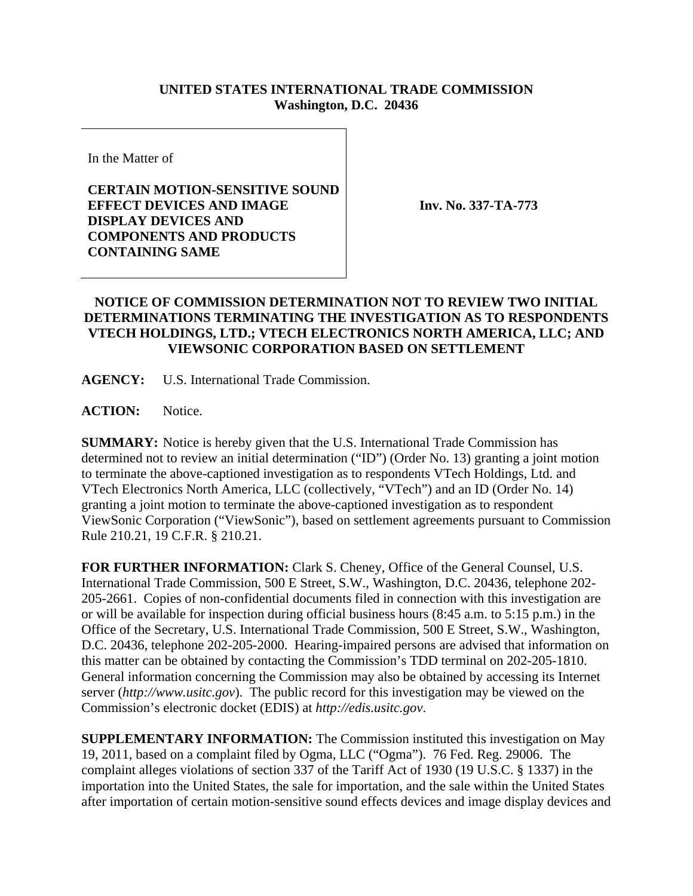## **UNITED STATES INTERNATIONAL TRADE COMMISSION Washington, D.C. 20436**

In the Matter of

## **CERTAIN MOTION-SENSITIVE SOUND EFFECT DEVICES AND IMAGE DISPLAY DEVICES AND COMPONENTS AND PRODUCTS CONTAINING SAME**

**Inv. No. 337-TA-773**

## **NOTICE OF COMMISSION DETERMINATION NOT TO REVIEW TWO INITIAL DETERMINATIONS TERMINATING THE INVESTIGATION AS TO RESPONDENTS VTECH HOLDINGS, LTD.; VTECH ELECTRONICS NORTH AMERICA, LLC; AND VIEWSONIC CORPORATION BASED ON SETTLEMENT**

**AGENCY:** U.S. International Trade Commission.

**ACTION:** Notice.

**SUMMARY:** Notice is hereby given that the U.S. International Trade Commission has determined not to review an initial determination ("ID") (Order No. 13) granting a joint motion to terminate the above-captioned investigation as to respondents VTech Holdings, Ltd. and VTech Electronics North America, LLC (collectively, "VTech") and an ID (Order No. 14) granting a joint motion to terminate the above-captioned investigation as to respondent ViewSonic Corporation ("ViewSonic"), based on settlement agreements pursuant to Commission Rule 210.21, 19 C.F.R. § 210.21.

**FOR FURTHER INFORMATION:** Clark S. Cheney, Office of the General Counsel, U.S. International Trade Commission, 500 E Street, S.W., Washington, D.C. 20436, telephone 202- 205-2661. Copies of non-confidential documents filed in connection with this investigation are or will be available for inspection during official business hours (8:45 a.m. to 5:15 p.m.) in the Office of the Secretary, U.S. International Trade Commission, 500 E Street, S.W., Washington, D.C. 20436, telephone 202-205-2000. Hearing-impaired persons are advised that information on this matter can be obtained by contacting the Commission's TDD terminal on 202-205-1810. General information concerning the Commission may also be obtained by accessing its Internet server (*http://www.usitc.gov*). The public record for this investigation may be viewed on the Commission's electronic docket (EDIS) at *http://edis.usitc.gov*.

**SUPPLEMENTARY INFORMATION:** The Commission instituted this investigation on May 19, 2011, based on a complaint filed by Ogma, LLC ("Ogma"). 76 Fed. Reg. 29006. The complaint alleges violations of section 337 of the Tariff Act of 1930 (19 U.S.C. § 1337) in the importation into the United States, the sale for importation, and the sale within the United States after importation of certain motion-sensitive sound effects devices and image display devices and